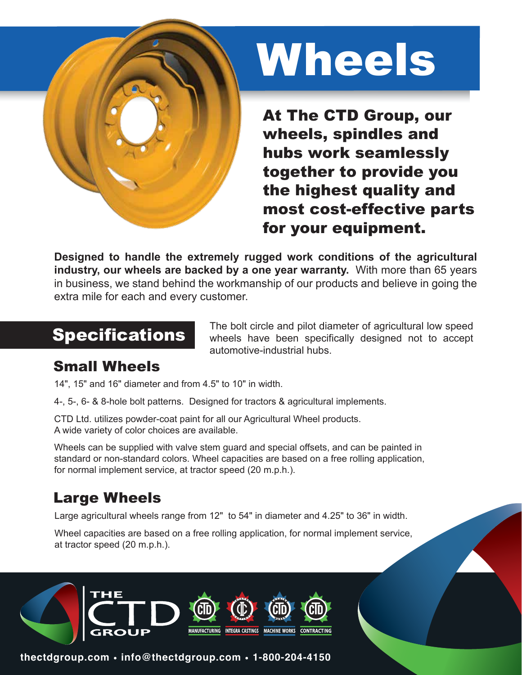

# Wheels

At The CTD Group, our wheels, spindles and hubs work seamlessly together to provide you the highest quality and most cost-effective parts for your equipment.

**Designed to handle the extremely rugged work conditions of the agricultural industry, our wheels are backed by a one year warranty.** With more than 65 years in business, we stand behind the workmanship of our products and believe in going the extra mile for each and every customer.

Specifications The bolt circle and pilot diameter of agricultural low speed wheels have been specifically designed not to accept automotive-industrial hubs.

#### Small Wheels

14", 15" and 16" diameter and from 4.5" to 10" in width.

4-, 5-, 6- & 8-hole bolt patterns. Designed for tractors & agricultural implements.

CTD Ltd. utilizes powder-coat paint for all our Agricultural Wheel products. A wide variety of color choices are available.

Wheels can be supplied with valve stem guard and special offsets, and can be painted in standard or non-standard colors. Wheel capacities are based on a free rolling application, for normal implement service, at tractor speed (20 m.p.h.).

### Large Wheels

Large agricultural wheels range from 12" to 54" in diameter and 4.25" to 36" in width.

Wheel capacities are based on a free rolling application, for normal implement service, at tractor speed (20 m.p.h.).



**thectdgroup.com • info@thectdgroup.com • 1-800-204-4150**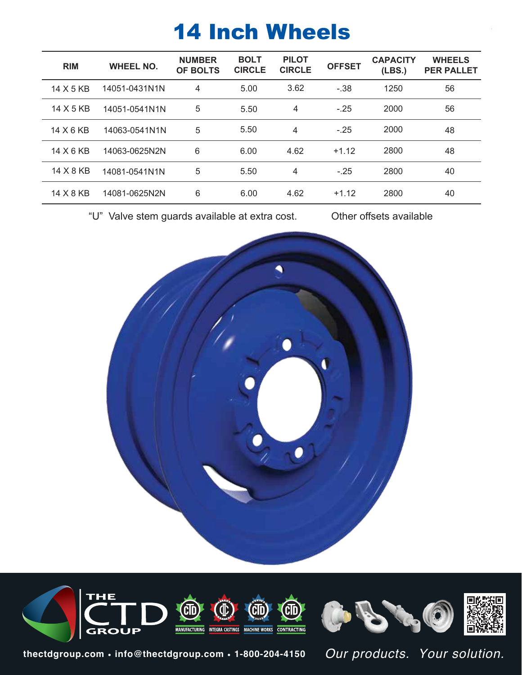# 14 Inch Wheels

| <b>RIM</b> | <b>WHEEL NO.</b> | <b>NUMBER</b><br><b>OF BOLTS</b> | <b>BOLT</b><br><b>CIRCLE</b> | <b>PILOT</b><br><b>CIRCLE</b> | <b>OFFSET</b> | <b>CAPACITY</b><br>(LES.) | <b>WHEELS</b><br><b>PER PALLET</b> |
|------------|------------------|----------------------------------|------------------------------|-------------------------------|---------------|---------------------------|------------------------------------|
| 14 X 5 KB  | 14051-0431N1N    | 4                                | 5.00                         | 3.62                          | $-.38$        | 1250                      | 56                                 |
| 14 X 5 KB  | 14051-0541N1N    | 5                                | 5.50                         | 4                             | $-.25$        | 2000                      | 56                                 |
| 14 X 6 KB  | 14063-0541N1N    | 5                                | 5.50                         | $\overline{4}$                | $-.25$        | 2000                      | 48                                 |
| 14 X 6 KB  | 14063-0625N2N    | 6                                | 6.00                         | 4.62                          | $+1.12$       | 2800                      | 48                                 |
| 14 X 8 KB  | 14081-0541N1N    | 5                                | 5.50                         | 4                             | $-.25$        | 2800                      | 40                                 |
| 14 X 8 KB  | 14081-0625N2N    | 6                                | 6.00                         | 4.62                          | $+1.12$       | 2800                      | 40                                 |

"U" Valve stem guards available at extra cost. Other offsets available





**thectdgroup.com • info@thectdgroup.com • 1-800-204-4150** *Our products. Your solution.*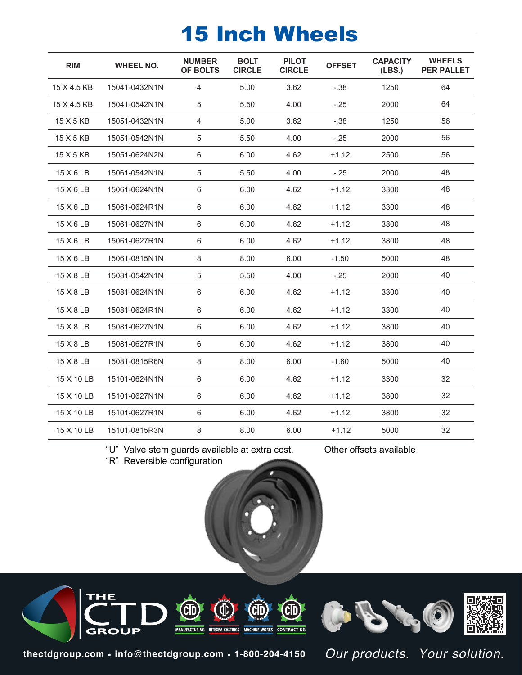# 15 Inch Wheels

| <b>RIM</b><br><b>WHEEL NO.</b> |               | <b>NUMBER</b><br>OF BOLTS | <b>BOLT</b><br><b>CIRCLE</b> | <b>PILOT</b><br><b>CIRCLE</b> | <b>OFFSET</b> | <b>CAPACITY</b><br>(LES.) | <b>WHEELS</b><br><b>PER PALLET</b> |
|--------------------------------|---------------|---------------------------|------------------------------|-------------------------------|---------------|---------------------------|------------------------------------|
| 15 X 4.5 KB                    | 15041-0432N1N | 4                         | 5.00                         | 3.62                          | $-.38$        | 1250                      | 64                                 |
| 15 X 4.5 KB                    | 15041-0542N1N | 5                         | 5.50                         | 4.00                          | $-.25$        | 2000                      | 64                                 |
| 15 X 5 KB                      | 15051-0432N1N | 4                         | 5.00                         | 3.62                          | $-.38$        | 1250                      | 56                                 |
| 15 X 5 KB                      | 15051-0542N1N | 5                         | 5.50                         | 4.00                          | $-.25$        | 2000                      | 56                                 |
| 15 X 5 KB                      | 15051-0624N2N | 6                         | 6.00                         | 4.62                          | $+1.12$       | 2500                      | 56                                 |
| 15 X 6 LB                      | 15061-0542N1N | 5                         | 5.50                         | 4.00                          | $-.25$        | 2000                      | 48                                 |
| 15 X 6 LB                      | 15061-0624N1N | 6                         | 6.00                         | 4.62                          | $+1.12$       | 3300                      | 48                                 |
| 15 X 6 LB                      | 15061-0624R1N | 6                         | 6.00                         | 4.62                          | $+1.12$       | 3300                      | 48                                 |
| 15 X 6 LB                      | 15061-0627N1N | 6                         | 6.00                         | 4.62                          | $+1.12$       | 3800                      | 48                                 |
| 15 X 6 LB                      | 15061-0627R1N | 6                         | 6.00                         | 4.62                          | $+1.12$       | 3800                      | 48                                 |
| 15 X 6 LB                      | 15061-0815N1N | 8                         | 8.00                         | 6.00                          | $-1.50$       | 5000                      | 48                                 |
| 15 X 8 LB                      | 15081-0542N1N | 5                         | 5.50                         | 4.00                          | $-.25$        | 2000                      | 40                                 |
| 15 X 8 LB                      | 15081-0624N1N | 6                         | 6.00                         | 4.62                          | $+1.12$       | 3300                      | 40                                 |
| 15 X 8 LB                      | 15081-0624R1N | 6                         | 6.00                         | 4.62                          | $+1.12$       | 3300                      | 40                                 |
| 15 X 8 LB                      | 15081-0627N1N | 6                         | 6.00                         | 4.62                          | $+1.12$       | 3800                      | 40                                 |
| 15 X 8 LB                      | 15081-0627R1N | 6                         | 6.00                         | 4.62                          | $+1.12$       | 3800                      | 40                                 |
| 15 X 8 LB                      | 15081-0815R6N | 8                         | 8.00                         | 6.00                          | $-1.60$       | 5000                      | 40                                 |
| 15 X 10 LB                     | 15101-0624N1N | 6                         | 6.00                         | 4.62                          | $+1.12$       | 3300                      | 32                                 |
| 15 X 10 LB                     | 15101-0627N1N | 6                         | 6.00                         | 4.62                          | $+1.12$       | 3800                      | 32                                 |
| 15 X 10 LB                     | 15101-0627R1N | 6                         | 6.00                         | 4.62                          | $+1.12$       | 3800                      | 32                                 |
| 15 X 10 LB                     | 15101-0815R3N | 8                         | 8.00                         | 6.00                          | $+1.12$       | 5000                      | 32                                 |
|                                |               |                           |                              |                               |               |                           |                                    |

"U" Valve stem guards available at extra cost. Other offsets available

"R" Reversible configuration





**thectdgroup.com • info@thectdgroup.com • 1-800-204-4150**

*Our products. Your solution.*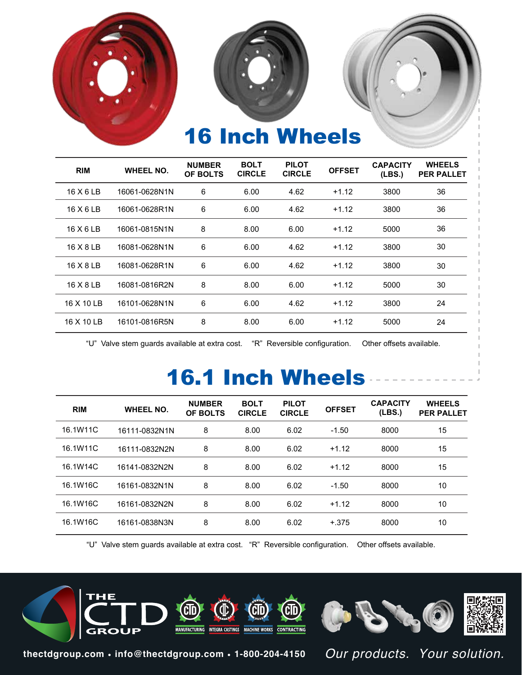

| <b>RIM</b> | <b>WHEEL NO.</b> |   | <b>NUMBER</b><br>OF BOLTS |      | <b>PILOT</b><br><b>BOLT</b><br><b>CIRCLE</b><br><b>CIRCLE</b> |      | <b>OFFSET</b> | <b>CAPACITY</b><br>(LES.) | <b>WHEELS</b><br><b>PER PALLET</b> |
|------------|------------------|---|---------------------------|------|---------------------------------------------------------------|------|---------------|---------------------------|------------------------------------|
| 16 X 6 LB  | 16061-0628N1N    |   | 6.00                      | 4.62 | $+1.12$                                                       | 3800 | 36            |                           |                                    |
| 16 X 6 LB  | 16061-0628R1N    | 6 | 6.00                      | 4.62 | $+1.12$                                                       | 3800 | 36            |                           |                                    |
| 16 X 6 LB  | 16061-0815N1N    | 8 | 8.00                      | 6.00 | $+1.12$                                                       | 5000 | 36            |                           |                                    |
| 16 X 8 LB  | 16081-0628N1N    | 6 | 6.00                      | 4.62 | $+1.12$                                                       | 3800 | 30            |                           |                                    |
| 16 X 8 LB  | 16081-0628R1N    | 6 | 6.00                      | 4.62 | $+1.12$                                                       | 3800 | 30            |                           |                                    |
| 16 X 8 LB  | 16081-0816R2N    | 8 | 8.00                      | 6.00 | $+1.12$                                                       | 5000 | 30            |                           |                                    |
| 16 X 10 LB | 16101-0628N1N    | 6 | 6.00                      | 4.62 | $+1.12$                                                       | 3800 | 24            |                           |                                    |
| 16 X 10 LB | 16101-0816R5N    | 8 | 8.00                      | 6.00 | $+1.12$                                                       | 5000 | 24            |                           |                                    |

"U" Valve stem guards available at extra cost. "R" Reversible configuration. Other offsets available.

# 16.1 Inch Wheels

| <b>RIM</b> | <b>WHEEL NO.</b> | <b>NUMBER</b><br>OF BOLTS | <b>BOLT</b><br><b>CIRCLE</b> | <b>PILOT</b><br><b>CIRCLE</b> | <b>OFFSET</b> | <b>CAPACITY</b><br>(LES.) | <b>WHEELS</b><br><b>PER PALLET</b> |
|------------|------------------|---------------------------|------------------------------|-------------------------------|---------------|---------------------------|------------------------------------|
| 16.1W11C   | 16111-0832N1N    | 8                         | 8.00                         | 6.02                          | $-1.50$       | 8000                      | 15                                 |
| 16.1W11C   | 16111-0832N2N    | 8                         | 8.00                         | 6.02                          | $+1.12$       | 8000                      | 15                                 |
| 16.1W14C   | 16141-0832N2N    | 8                         | 8.00                         | 6.02                          | $+1.12$       | 8000                      | 15                                 |
| 16.1W16C   | 16161-0832N1N    | 8                         | 8.00                         | 6.02                          | $-1.50$       | 8000                      | 10                                 |
| 16.1W16C   | 16161-0832N2N    | 8                         | 8.00                         | 6.02                          | $+1.12$       | 8000                      | 10                                 |
| 16.1W16C   | 16161-0838N3N    | 8                         | 8.00                         | 6.02                          | $+.375$       | 8000                      | 10                                 |

"U" Valve stem guards available at extra cost. "R" Reversible configuration. Other offsets available.



**thectdgroup.com • info@thectdgroup.com • 1-800-204-4150**

*Our products. Your solution.*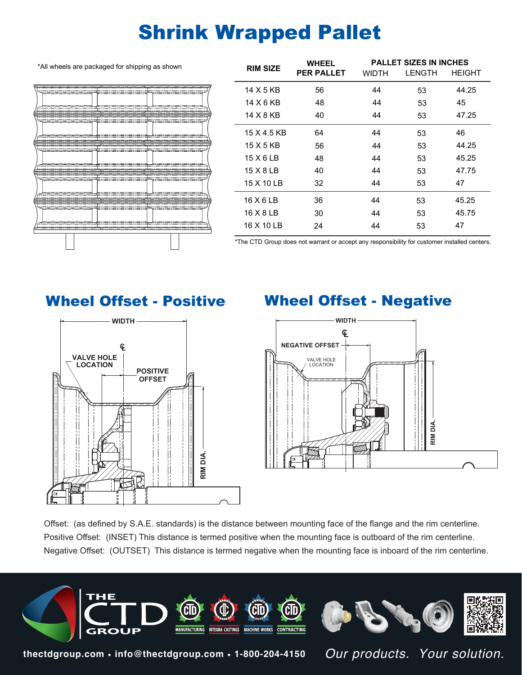## Shrink Wrapped Pallet

\*All wheels are packaged for shipping as shown



| <b>RIM SIZE</b> |             | <b>WHEEL</b>      |       | <b>PALLET SIZES IN INCHES</b> |               |
|-----------------|-------------|-------------------|-------|-------------------------------|---------------|
|                 |             | <b>PER PALLET</b> | WIDTH | <b>LENGTH</b>                 | <b>HEIGHT</b> |
|                 | 14 X 5 KB   | 56                | 44    | 53                            | 44.25         |
|                 | 14 X 6 KB   | 48                | 44    | 53                            | 45            |
|                 | 14 X 8 KB   | 40                | 44    | 53                            | 47.25         |
|                 | 15 X 4.5 KB | 64                | 44    | 53                            | 46            |
|                 | 15 X 5 KB   | 56                | 44    | 53                            | 44.25         |
|                 | 15 X 6 LB   | 48                | 44    | 53                            | 45.25         |
|                 | 15 X 8 LB   | 40                | 44    | 53                            | 47.75         |
|                 | 15 X 10 LB  | 32                | 44    | 53                            | 47            |
|                 | 16 X 6 LB   | 36                | 44    | 53                            | 45.25         |
|                 | 16 X 8 LB   | 30                | 44    | 53                            | 45.75         |
|                 | 16 X 10 LB  | 24                | 44    | 53                            | 47            |
|                 |             |                   |       |                               |               |

\*The CTD Group does not warrant or accept any responsibility for customer installed centers.



#### Wheel Offset - Positive Wheel Offset - Negative



Offset: (as defined by S.A.E. standards) is the distance between mounting face of the flange and the rim centerline. Positive Offset: (INSET) This distance is termed positive when the mounting face is outboard of the rim centerline. Negative Offset: (OUTSET) This distance is termed negative when the mounting face is inboard of the rim centerline.



**thectdgroup.com • info@thectdgroup.com • 1-800-204-4150**

*Our products. Your solution.*